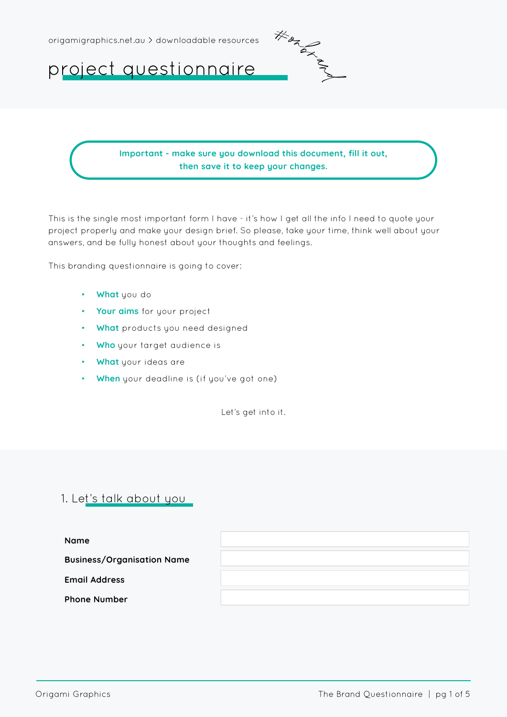

project questionnaire

Important - make sure you download this document, fill it out, then save it to keep your changes.

This is the single most important form I have - it's how I get all the info I need to quote your project properly and make your design brief. So please, take your time, think well about your answers, and be fully honest about your thoughts and feelings.

This branding questionnaire is going to cover:

- What you do
- Your aims for your project
- What products you need designed
- Who your target audience is
- What your ideas are
- When your deadline is (if you've got one)

Let's get into it.

# 1. Let's talk about you

| <b>Name</b>                       |  |
|-----------------------------------|--|
| <b>Business/Organisation Name</b> |  |
| <b>Email Address</b>              |  |
| <b>Phone Number</b>               |  |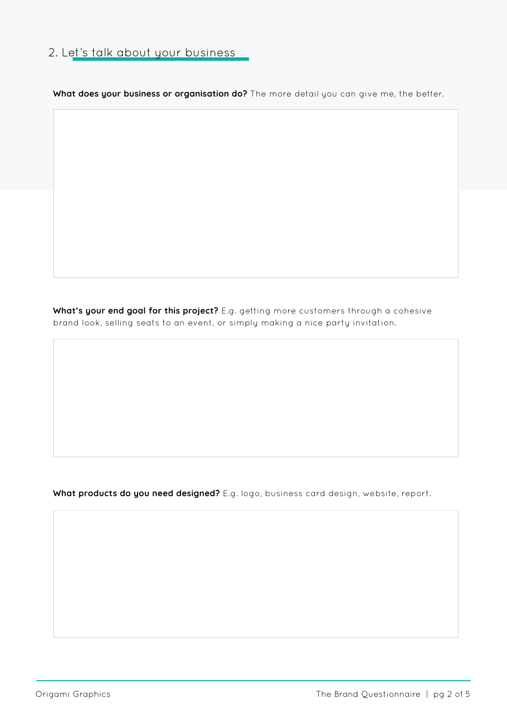# 2. Let's talk about your business

What does your business or organisation do? The more detail you can give me, the better.

What's your end goal for this project? E.g. getting more customers through a cohesive brand look, selling seats to an event, or simply making a nice party invitation.

What products do you need designed? E.g. logo, business card design, website, report.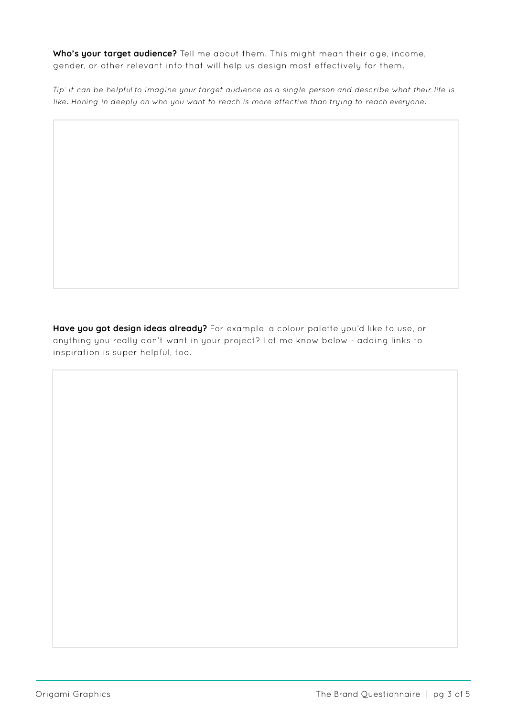Who's your target audience? Tell me about them. This might mean their age, income, gender, or other relevant info that will help us design most effectively for them.

Tip: it can be helpful to imagine your target audience as a single person and describe what their life is like. Honing in deeply on who you want to reach is more effective than trying to reach everyone.

Have you got design ideas already? For example, a colour palette you'd like to use, or anything you really don't want in your project? Let me know below - adding links to inspiration is super helpful, too.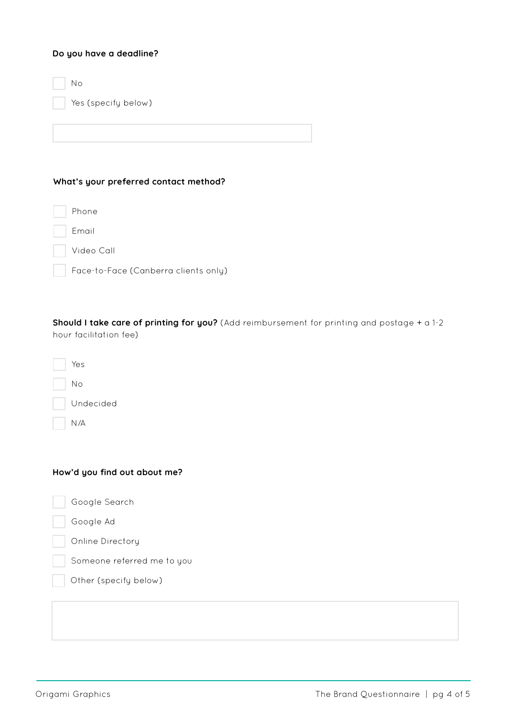## Do you have a deadline?

Yes (specify below) No

## What's your preferred contact method?

Phone

Email

Video Call

| Face-to-Face (Canberra clients only) |
|--------------------------------------|
|--------------------------------------|

Should I take care of printing for you? (Add reimbursement for printing and postage + a 1-2 hour facilitation fee)

| Yes       |
|-----------|
| Nο        |
| Undecided |
| N /A      |

# How'd you find out about me?

| Google Search              |
|----------------------------|
| Google Ad                  |
| Online Directory           |
| Someone referred me to you |
| Other (specify below)      |
|                            |